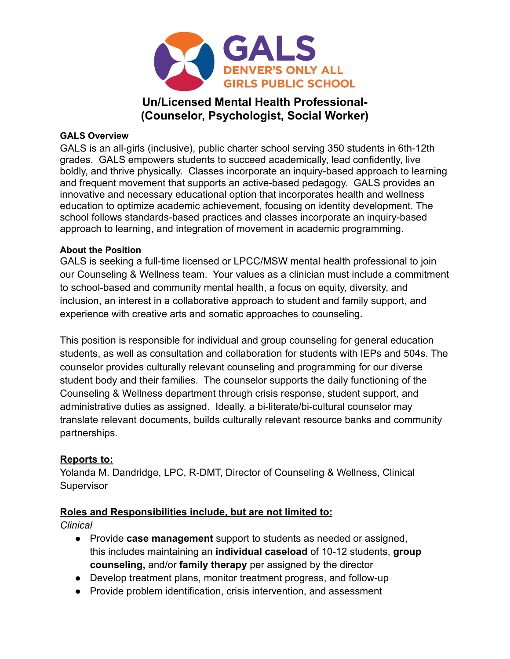

# **Un/Licensed Mental Health Professional- (Counselor, Psychologist, Social Worker)**

### **GALS Overview**

GALS is an all-girls (inclusive), public charter school serving 350 students in 6th-12th grades. GALS empowers students to succeed academically, lead confidently, live boldly, and thrive physically. Classes incorporate an inquiry-based approach to learning and frequent movement that supports an active-based pedagogy. GALS provides an innovative and necessary educational option that incorporates health and wellness education to optimize academic achievement, focusing on identity development. The school follows standards-based practices and classes incorporate an inquiry-based approach to learning, and integration of movement in academic programming.

### **About the Position**

GALS is seeking a full-time licensed or LPCC/MSW mental health professional to join our Counseling & Wellness team. Your values as a clinician must include a commitment to school-based and community mental health, a focus on equity, diversity, and inclusion, an interest in a collaborative approach to student and family support, and experience with creative arts and somatic approaches to counseling.

This position is responsible for individual and group counseling for general education students, as well as consultation and collaboration for students with IEPs and 504s. The counselor provides culturally relevant counseling and programming for our diverse student body and their families. The counselor supports the daily functioning of the Counseling & Wellness department through crisis response, student support, and administrative duties as assigned. Ideally, a bi-literate/bi-cultural counselor may translate relevant documents, builds culturally relevant resource banks and community partnerships.

### **Reports to:**

Yolanda M. Dandridge, LPC, R-DMT, Director of Counseling & Wellness, Clinical **Supervisor** 

## **Roles and Responsibilities include, but are not limited to:**

*Clinical*

- Provide **case management** support to students as needed or assigned, this includes maintaining an **individual caseload** of 10-12 students, **group counseling,** and/or **family therapy** per assigned by the director
- Develop treatment plans, monitor treatment progress, and follow-up
- Provide problem identification, crisis intervention, and assessment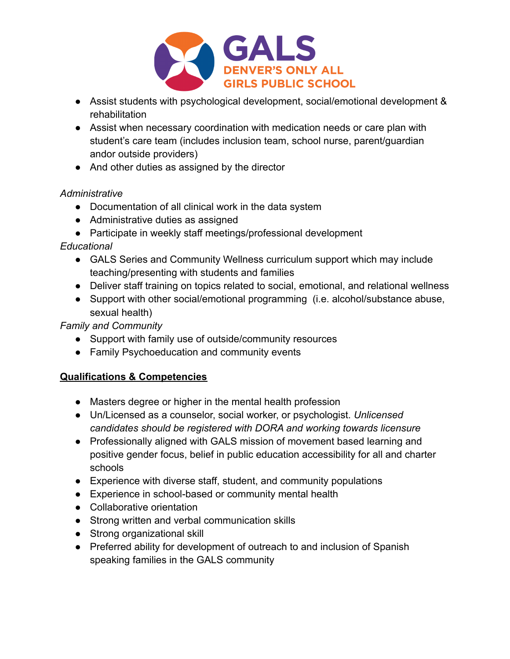

- Assist students with psychological development, social/emotional development & rehabilitation
- Assist when necessary coordination with medication needs or care plan with student's care team (includes inclusion team, school nurse, parent/guardian andor outside providers)
- And other duties as assigned by the director

## *Administrative*

- Documentation of all clinical work in the data system
- Administrative duties as assigned
- Participate in weekly staff meetings/professional development

## *Educational*

- GALS Series and Community Wellness curriculum support which may include teaching/presenting with students and families
- Deliver staff training on topics related to social, emotional, and relational wellness
- Support with other social/emotional programming (i.e. alcohol/substance abuse, sexual health)

## *Family and Community*

- Support with family use of outside/community resources
- Family Psychoeducation and community events

## **Qualifications & Competencies**

- Masters degree or higher in the mental health profession
- Un/Licensed as a counselor, social worker, or psychologist. *Unlicensed candidates should be registered with DORA and working towards licensure*
- Professionally aligned with GALS mission of movement based learning and positive gender focus, belief in public education accessibility for all and charter schools
- Experience with diverse staff, student, and community populations
- Experience in school-based or community mental health
- Collaborative orientation
- Strong written and verbal communication skills
- Strong organizational skill
- Preferred ability for development of outreach to and inclusion of Spanish speaking families in the GALS community